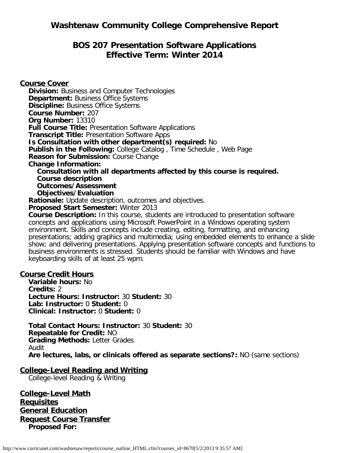# **BOS 207 Presentation Software Applications Effective Term: Winter 2014**

**Course Cover Division:** Business and Computer Technologies **Department: Business Office Systems Discipline: Business Office Systems Course Number:** 207 **Org Number:** 13310 **Full Course Title:** Presentation Software Applications **Transcript Title:** Presentation Software Apps **Is Consultation with other department(s) required:** No **Publish in the Following:** College Catalog , Time Schedule , Web Page **Reason for Submission:** Course Change **Change Information: Consultation with all departments affected by this course is required. Course description Outcomes/Assessment Objectives/Evaluation Rationale:** Update description, outcomes and objectives. **Proposed Start Semester:** Winter 2013 **Course Description:** In this course, students are introduced to presentation software concepts and applications using Microsoft PowerPoint in a Windows operating system environment. Skills and concepts include creating, editing, formatting, and enhancing presentations; adding graphics and multimedia; using embedded elements to enhance a slide

show; and delivering presentations. Applying presentation software concepts and functions to business environments is stressed. Students should be familiar with Windows and have keyboarding skills of at least 25 wpm.

#### **Course Credit Hours**

**Variable hours:** No **Credits:** 2 **Lecture Hours: Instructor:** 30 **Student:** 30 **Lab: Instructor:** 0 **Student:** 0 **Clinical: Instructor:** 0 **Student:** 0

**Total Contact Hours: Instructor:** 30 **Student:** 30 **Repeatable for Credit:** NO **Grading Methods:** Letter Grades Audit **Are lectures, labs, or clinicals offered as separate sections?:** NO (same sections)

#### **College-Level Reading and Writing**

College-level Reading & Writing

**College-Level Math Requisites General Education Request Course Transfer Proposed For:**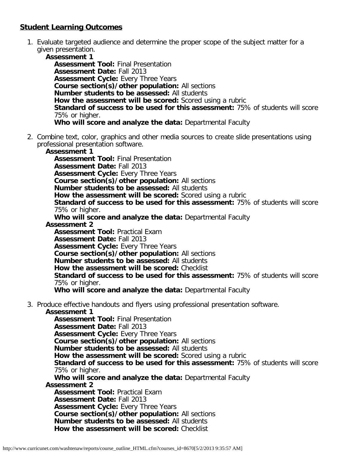# **Student Learning Outcomes**

1. Evaluate targeted audience and determine the proper scope of the subject matter for a given presentation.

**Assessment 1 Assessment Tool:** Final Presentation **Assessment Date:** Fall 2013 **Assessment Cycle:** Every Three Years **Course section(s)/other population:** All sections **Number students to be assessed:** All students **How the assessment will be scored:** Scored using a rubric **Standard of success to be used for this assessment:** 75% of students will score 75% or higher. **Who will score and analyze the data:** Departmental Faculty

2. Combine text, color, graphics and other media sources to create slide presentations using professional presentation software.

**Assessment 1**

**Assessment Tool:** Final Presentation **Assessment Date:** Fall 2013 **Assessment Cycle: Every Three Years Course section(s)/other population:** All sections **Number students to be assessed:** All students **How the assessment will be scored:** Scored using a rubric **Standard of success to be used for this assessment:** 75% of students will score 75% or higher.

**Who will score and analyze the data:** Departmental Faculty

**Assessment 2**

**Assessment Tool:** Practical Exam **Assessment Date:** Fall 2013

**Assessment Cycle: Every Three Years** 

**Course section(s)/other population:** All sections

**Number students to be assessed:** All students

**How the assessment will be scored:** Checklist

**Standard of success to be used for this assessment:** 75% of students will score 75% or higher.

**Who will score and analyze the data:** Departmental Faculty

3. Produce effective handouts and flyers using professional presentation software.

**Assessment 1**

**Assessment Tool:** Final Presentation **Assessment Date:** Fall 2013 **Assessment Cycle:** Every Three Years **Course section(s)/other population:** All sections **Number students to be assessed:** All students **How the assessment will be scored:** Scored using a rubric **Standard of success to be used for this assessment:** 75% of students will score 75% or higher. **Who will score and analyze the data:** Departmental Faculty **Assessment 2 Assessment Tool:** Practical Exam **Assessment Date:** Fall 2013 **Assessment Cycle: Every Three Years Course section(s)/other population:** All sections **Number students to be assessed:** All students **How the assessment will be scored:** Checklist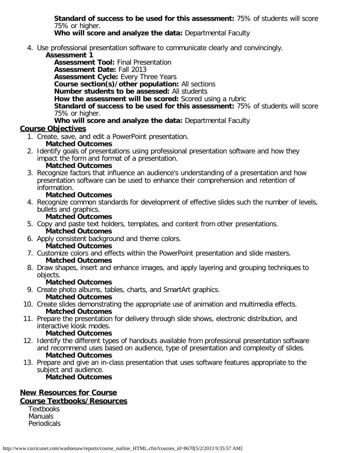**Standard of success to be used for this assessment:** 75% of students will score 75% or higher.

**Who will score and analyze the data:** Departmental Faculty

- 4. Use professional presentation software to communicate clearly and convincingly.
	- **Assessment 1**

**Assessment Tool:** Final Presentation **Assessment Date:** Fall 2013 **Assessment Cycle:** Every Three Years **Course section(s)/other population:** All sections **Number students to be assessed:** All students **How the assessment will be scored:** Scored using a rubric **Standard of success to be used for this assessment:** 75% of students will score 75% or higher.

# **Who will score and analyze the data:** Departmental Faculty

# **Course Objectives**

- 1. Create, save, and edit a PowerPoint presentation.
	- **Matched Outcomes**
- 2. Identify goals of presentations using professional presentation software and how they impact the form and format of a presentation.
	- **Matched Outcomes**
- 3. Recognize factors that influence an audience's understanding of a presentation and how presentation software can be used to enhance their comprehension and retention of information.

### **Matched Outcomes**

4. Recognize common standards for development of effective slides such the number of levels, bullets and graphics.

### **Matched Outcomes**

- 5. Copy and paste text holders, templates, and content from other presentations. **Matched Outcomes**
- 6. Apply consistent background and theme colors.
	- **Matched Outcomes**
- 7. Customize colors and effects within the PowerPoint presentation and slide masters. **Matched Outcomes**
- 8. Draw shapes, insert and enhance images, and apply layering and grouping techniques to objects.

# **Matched Outcomes**

- 9. Create photo albums, tables, charts, and SmartArt graphics.
	- **Matched Outcomes**
- 10. Create slides demonstrating the appropriate use of animation and multimedia effects. **Matched Outcomes**
- 11. Prepare the presentation for delivery through slide shows, electronic distribution, and interactive kiosk modes.

#### **Matched Outcomes**

- 12. Identify the different types of handouts available from professional presentation software and recommend uses based on audience, type of presentation and complexity of slides. **Matched Outcomes**
- 13. Prepare and give an in-class presentation that uses software features appropriate to the subject and audience.

**Matched Outcomes**

### **New Resources for Course Course Textbooks/Resources**

**Textbooks Manuals** Periodicals